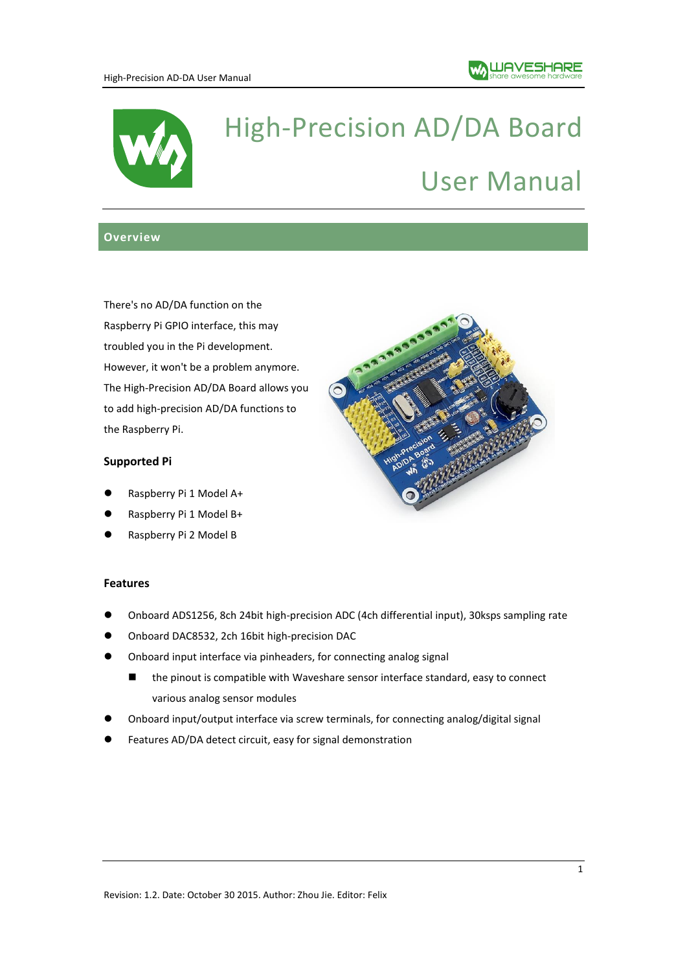

# High-Precision AD/DA Board User Manual

# **Overview**

There's no AD/DA function on the Raspberry Pi GPIO interface, this may troubled you in the Pi development. However, it won't be a problem anymore. The High-Precision AD/DA Board allows you to add high-precision AD/DA functions to the Raspberry Pi.

# **Supported Pi**

- Raspberry Pi 1 Model A+
- Raspberry Pi 1 Model B+
- Raspberry Pi 2 Model B

#### **Features**

- Onboard ADS1256, 8ch 24bit high-precision ADC (4ch differential input), 30ksps sampling rate
- Onboard DAC8532, 2ch 16bit high-precision DAC
- Onboard input interface via pinheaders, for connecting analog signal
	- the pinout is compatible with Waveshare sensor interface standard, easy to connect various analog sensor modules
- Onboard input/output interface via screw terminals, for connecting analog/digital signal
- Features AD/DA detect circuit, easy for signal demonstration

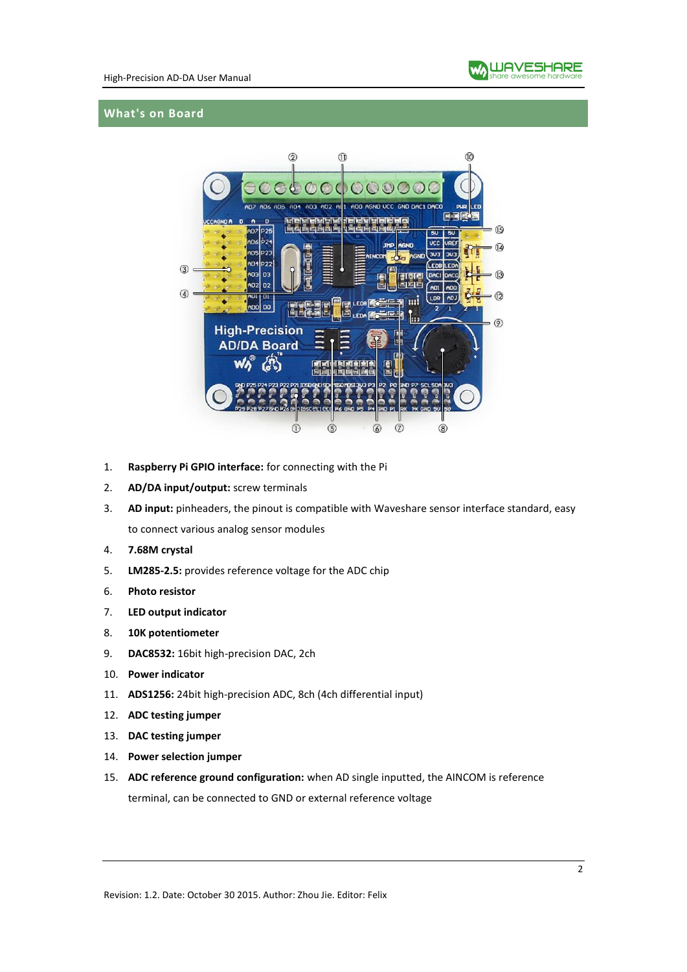

#### **What's on Board**



- 1. **Raspberry Pi GPIO interface:** for connecting with the Pi
- 2. **AD/DA input/output:** screw terminals
- 3. **AD input:** pinheaders, the pinout is compatible with Waveshare sensor interface standard, easy to connect various analog sensor modules
- 4. **7.68M crystal**
- 5. **LM285-2.5:** provides reference voltage for the ADC chip
- 6. **Photo resistor**
- 7. **LED output indicator**
- 8. **10K potentiometer**
- 9. **DAC8532:** 16bit high-precision DAC, 2ch
- 10. **Power indicator**
- 11. **ADS1256:** 24bit high-precision ADC, 8ch (4ch differential input)
- 12. **ADC testing jumper**
- 13. **DAC testing jumper**
- 14. **Power selection jumper**
- 15. **ADC reference ground configuration:** when AD single inputted, the AINCOM is reference terminal, can be connected to GND or external reference voltage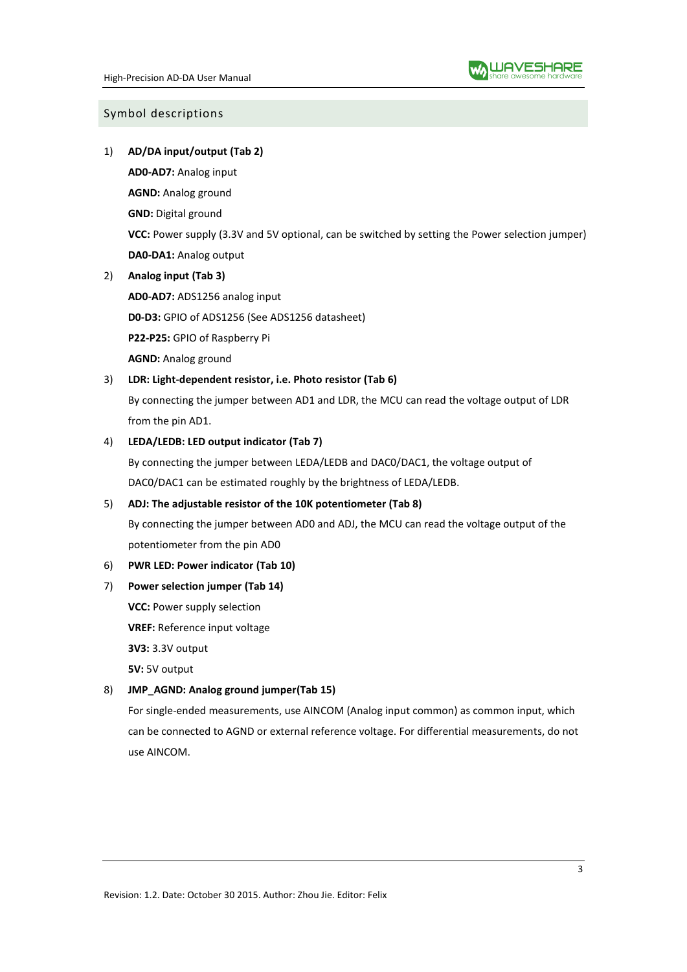#### Symbol descriptions

1) **AD/DA input/output (Tab 2)**

**AD0-AD7:** Analog input

**AGND:** Analog ground

**GND:** Digital ground

**VCC:** Power supply (3.3V and 5V optional, can be switched by setting the Power selection jumper) **DA0-DA1:** Analog output

2) **Analog input (Tab 3)**

**AD0-AD7:** ADS1256 analog input

**D0-D3:** GPIO of ADS1256 (See ADS1256 datasheet)

**P22-P25:** GPIO of Raspberry Pi

**AGND:** Analog ground

# 3) **LDR: Light-dependent resistor, i.e. Photo resistor (Tab 6)**

By connecting the jumper between AD1 and LDR, the MCU can read the voltage output of LDR from the pin AD1.

#### 4) **LEDA/LEDB: LED output indicator (Tab 7)**

By connecting the jumper between LEDA/LEDB and DAC0/DAC1, the voltage output of DAC0/DAC1 can be estimated roughly by the brightness of LEDA/LEDB.

# 5) **ADJ: The adjustable resistor of the 10K potentiometer (Tab 8)**

By connecting the jumper between AD0 and ADJ, the MCU can read the voltage output of the potentiometer from the pin AD0

#### 6) **PWR LED: Power indicator (Tab 10)**

# 7) **Power selection jumper (Tab 14)**

**VCC: Power supply selection** 

**VREF:** Reference input voltage

**3V3:** 3.3V output

**5V:** 5V output

# 8) **JMP\_AGND: Analog ground jumper(Tab 15)**

For single-ended measurements, use AINCOM (Analog input common) as common input, which can be connected to AGND or external reference voltage. For differential measurements, do not use AINCOM.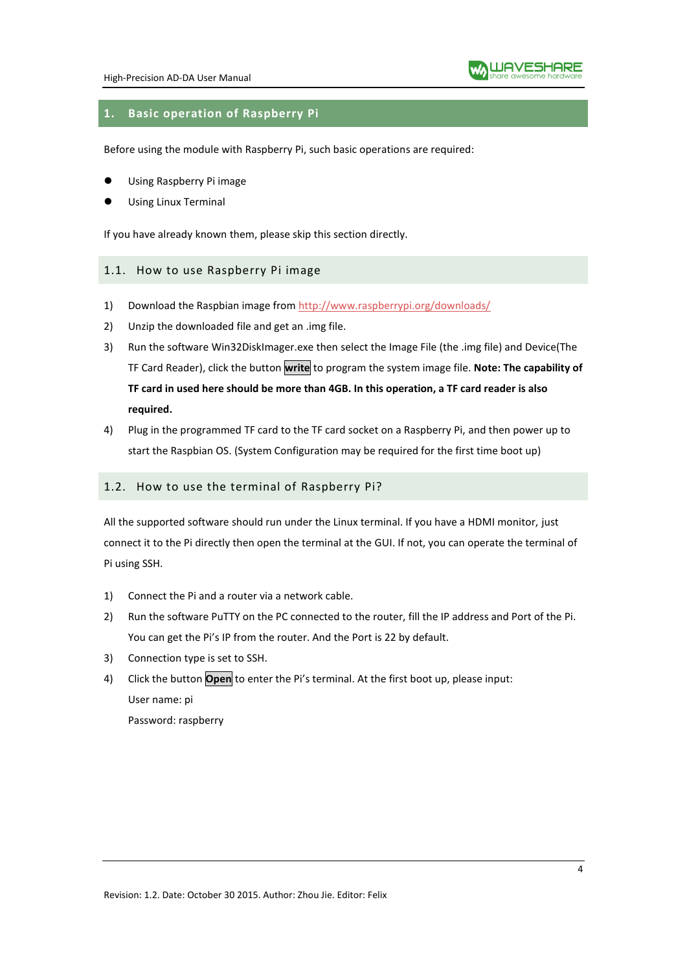

# **1. Basic operation of Raspberry Pi**

Before using the module with Raspberry Pi, such basic operations are required:

- Using Raspberry Pi image
- Using Linux Terminal

If you have already known them, please skip this section directly.

#### 1.1. How to use Raspberry Pi image

- 1) Download the Raspbian image from <http://www.raspberrypi.org/downloads/>
- 2) Unzip the downloaded file and get an .img file.
- 3) Run the software Win32DiskImager.exe then select the Image File (the .img file) and Device(The TF Card Reader), click the button **write** to program the system image file. **Note: The capability of TF card in used here should be more than 4GB. In this operation, a TF card reader is also required.**
- 4) Plug in the programmed TF card to the TF card socket on a Raspberry Pi, and then power up to start the Raspbian OS. (System Configuration may be required for the first time boot up)

#### 1.2. How to use the terminal of Raspberry Pi?

All the supported software should run under the Linux terminal. If you have a HDMI monitor, just connect it to the Pi directly then open the terminal at the GUI. If not, you can operate the terminal of Pi using SSH.

- 1) Connect the Pi and a router via a network cable.
- 2) Run the software PuTTY on the PC connected to the router, fill the IP address and Port of the Pi. You can get the Pi's IP from the router. And the Port is 22 by default.
- 3) Connection type is set to SSH.
- 4) Click the button **Open** to enter the Pi's terminal. At the first boot up, please input: User name: pi Password: raspberry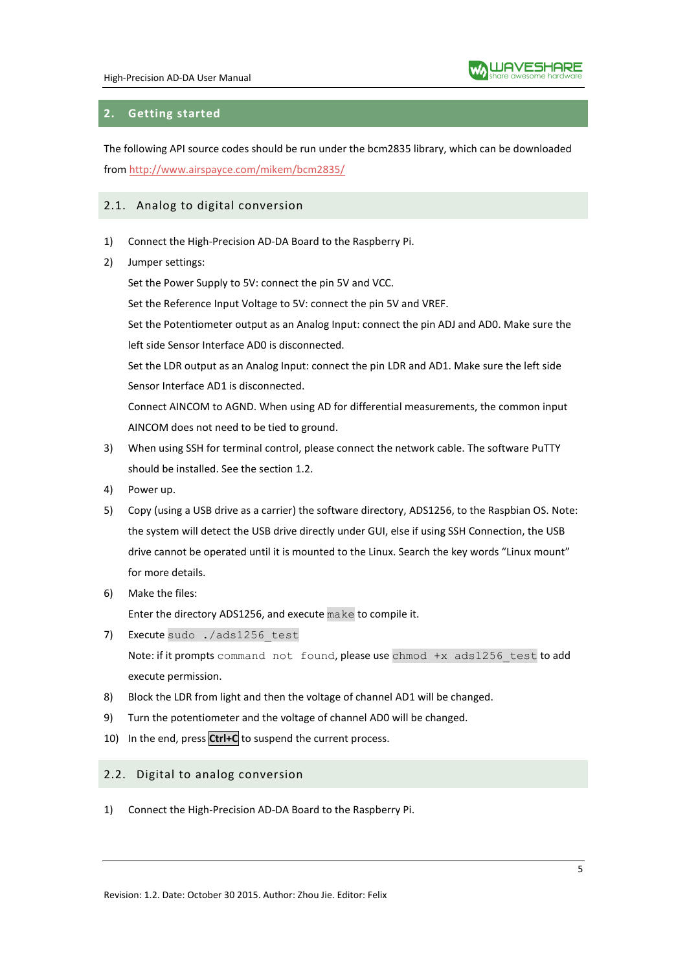

# **2. Getting started**

The following API source codes should be run under the bcm2835 library, which can be downloaded from<http://www.airspayce.com/mikem/bcm2835/>

# 2.1. Analog to digital conversion

- 1) Connect the High-Precision AD-DA Board to the Raspberry Pi.
- 2) Jumper settings:

Set the Power Supply to 5V: connect the pin 5V and VCC.

Set the Reference Input Voltage to 5V: connect the pin 5V and VREF.

Set the Potentiometer output as an Analog Input: connect the pin ADJ and AD0. Make sure the left side Sensor Interface AD0 is disconnected.

Set the LDR output as an Analog Input: connect the pin LDR and AD1. Make sure the left side Sensor Interface AD1 is disconnected.

Connect AINCOM to AGND. When using AD for differential measurements, the common input AINCOM does not need to be tied to ground.

- 3) When using SSH for terminal control, please connect the network cable. The software PuTTY should be installed. See the section 1.2.
- 4) Power up.
- 5) Copy (using a USB drive as a carrier) the software directory, ADS1256, to the Raspbian OS. Note: the system will detect the USB drive directly under GUI, else if using SSH Connection, the USB drive cannot be operated until it is mounted to the Linux. Search the key words "Linux mount" for more details.
- 6) Make the files:

Enter the directory ADS1256, and execute make to compile it.

7) Execute sudo ./ads1256 test

Note: if it prompts command not found, please use chmod +x ads1256 test to add execute permission.

- 8) Block the LDR from light and then the voltage of channel AD1 will be changed.
- 9) Turn the potentiometer and the voltage of channel AD0 will be changed.
- 10) In the end, press **Ctrl+C** to suspend the current process.

#### 2.2. Digital to analog conversion

1) Connect the High-Precision AD-DA Board to the Raspberry Pi.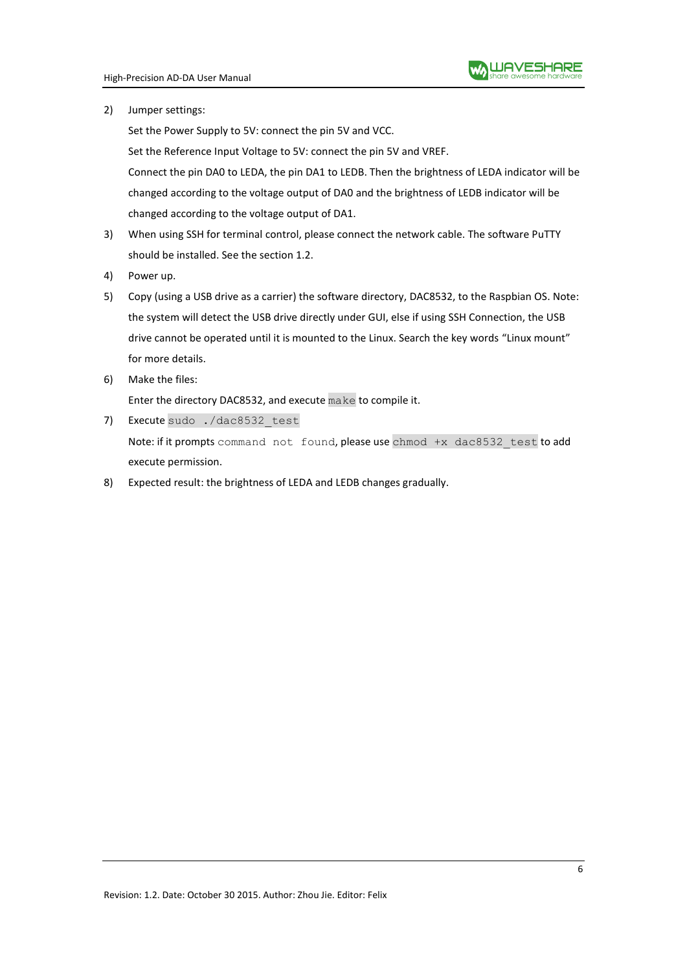2) Jumper settings:

Set the Power Supply to 5V: connect the pin 5V and VCC.

Set the Reference Input Voltage to 5V: connect the pin 5V and VREF.

Connect the pin DA0 to LEDA, the pin DA1 to LEDB. Then the brightness of LEDA indicator will be changed according to the voltage output of DA0 and the brightness of LEDB indicator will be changed according to the voltage output of DA1.

- 3) When using SSH for terminal control, please connect the network cable. The software PuTTY should be installed. See the section 1.2.
- 4) Power up.
- 5) Copy (using a USB drive as a carrier) the software directory, DAC8532, to the Raspbian OS. Note: the system will detect the USB drive directly under GUI, else if using SSH Connection, the USB drive cannot be operated until it is mounted to the Linux. Search the key words "Linux mount" for more details.
- 6) Make the files:

Enter the directory DAC8532, and execute make to compile it.

- 7) Execute sudo ./dac8532 test Note: if it prompts command not found, please use chmod +x dac8532 test to add execute permission.
- 8) Expected result: the brightness of LEDA and LEDB changes gradually.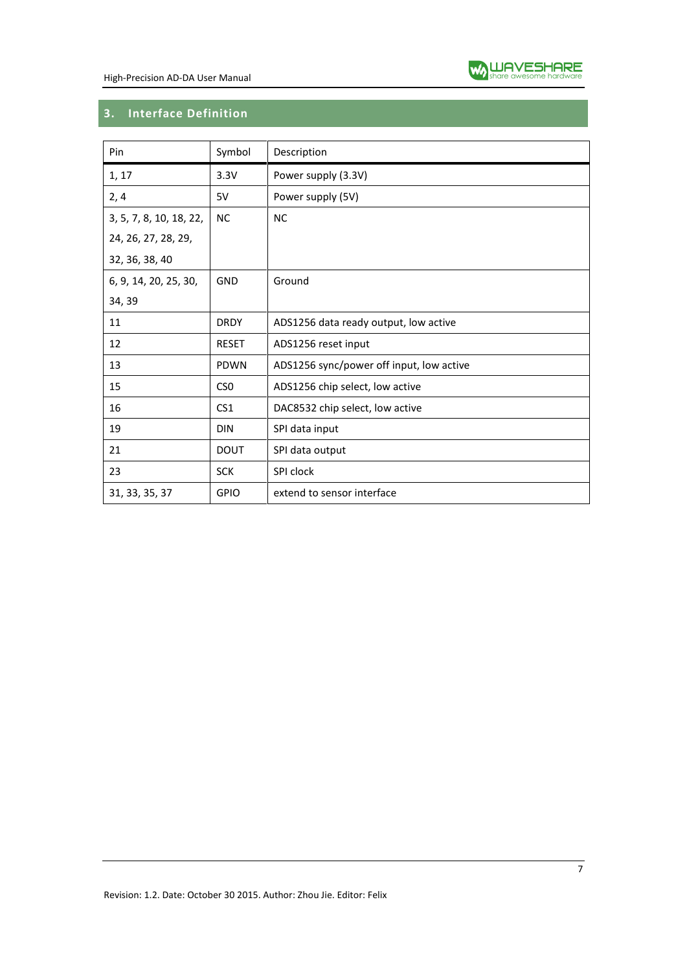

# **3. Interface Definition**

| Pin                     | Symbol          | Description                              |
|-------------------------|-----------------|------------------------------------------|
| 1, 17                   | 3.3V            | Power supply (3.3V)                      |
| 2,4                     | 5V              | Power supply (5V)                        |
| 3, 5, 7, 8, 10, 18, 22, | <b>NC</b>       | <b>NC</b>                                |
| 24, 26, 27, 28, 29,     |                 |                                          |
| 32, 36, 38, 40          |                 |                                          |
| 6, 9, 14, 20, 25, 30,   | GND             | Ground                                   |
| 34, 39                  |                 |                                          |
| 11                      | <b>DRDY</b>     | ADS1256 data ready output, low active    |
| 12                      | <b>RESET</b>    | ADS1256 reset input                      |
| 13                      | <b>PDWN</b>     | ADS1256 sync/power off input, low active |
| 15                      | CS <sub>0</sub> | ADS1256 chip select, low active          |
| 16                      | CS <sub>1</sub> | DAC8532 chip select, low active          |
| 19                      | <b>DIN</b>      | SPI data input                           |
| 21                      | <b>DOUT</b>     | SPI data output                          |
| 23                      | <b>SCK</b>      | SPI clock                                |
| 31, 33, 35, 37          | <b>GPIO</b>     | extend to sensor interface               |